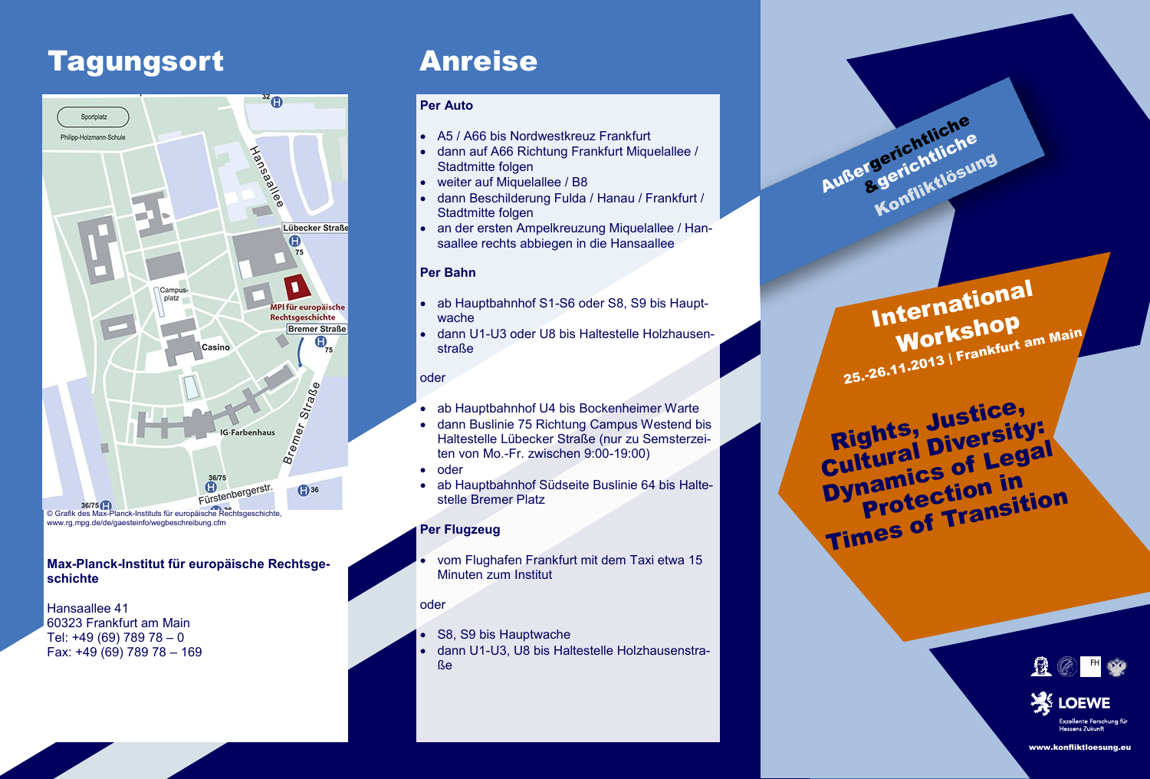## Tagungsort Anreise



#### **Max-Planck-Institut für europäische Rechtsgeschichte**

Hansaallee 41 60323 Frankfurt am Main Tel: +49 (69) 789 78 – 0 Fax: +49 (69) 789 78 – 169

#### **Per Auto**

- A5 / A66 bis Nordwestkreuz Frankfurt
- dann auf A66 Richtung Frankfurt Miquelallee / Stadtmitte folgen
- weiter auf Miquelallee / B8
- dann Beschilderung Fulda / Hanau / Frankfurt / Stadtmitte folgen
- an der ersten Ampelkreuzung Miquelallee / Hansaallee rechts abbiegen in die Hansaallee

#### **Per Bahn**

- ab Hauptbahnhof S1-S6 oder S8, S9 bis Hauptwache
- dann U1-U3 oder U8 bis Haltestelle Holzhausenstraße

#### oder

- ab Hauptbahnhof U4 bis Bockenheimer Warte
- dann Buslinie 75 Richtung Campus Westend bis Haltestelle Lübecker Straße (nur zu Semsterzeiten von Mo.-Fr. zwischen 9:00-19:00)
- oder
- ab Hauptbahnhof Südseite Buslinie 64 bis Haltestelle Bremer Platz

#### **Per Flugzeug**

 vom Flughafen Frankfurt mit dem Taxi etwa 15 Minuten zum Institut

#### oder

- S8, S9 bis Hauptwache
- dann U1-U3, U8 bis Haltestelle Holzhausenstraße

**International** Workshop **WOTKSILLER** am Main

Außergerichtliche

Jerichtin<br>.gerichtin<br>Konfliktlösung

Rights, Justice,<br>Rights, Diversity Rights, Diversity:<br>Cultural Diversity: **Dynamics of Legal** Protection in Times of Transition





www.konfliktloesung.eu